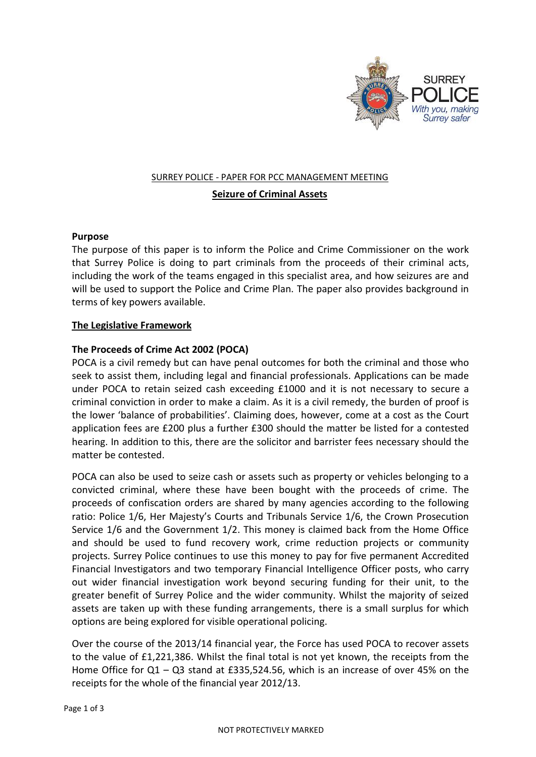

# SURREY POLICE - PAPER FOR PCC MANAGEMENT MEETING

# **Seizure of Criminal Assets**

## **Purpose**

The purpose of this paper is to inform the Police and Crime Commissioner on the work that Surrey Police is doing to part criminals from the proceeds of their criminal acts, including the work of the teams engaged in this specialist area, and how seizures are and will be used to support the Police and Crime Plan. The paper also provides background in terms of key powers available.

# **The Legislative Framework**

# **The Proceeds of Crime Act 2002 (POCA)**

POCA is a civil remedy but can have penal outcomes for both the criminal and those who seek to assist them, including legal and financial professionals. Applications can be made under POCA to retain seized cash exceeding £1000 and it is not necessary to secure a criminal conviction in order to make a claim. As it is a civil remedy, the burden of proof is the lower 'balance of probabilities'. Claiming does, however, come at a cost as the Court application fees are £200 plus a further £300 should the matter be listed for a contested hearing. In addition to this, there are the solicitor and barrister fees necessary should the matter be contested.

POCA can also be used to seize cash or assets such as property or vehicles belonging to a convicted criminal, where these have been bought with the proceeds of crime. The proceeds of confiscation orders are shared by many agencies according to the following ratio: Police 1/6, Her Majesty's Courts and Tribunals Service 1/6, the Crown Prosecution Service 1/6 and the Government 1/2. This money is claimed back from the Home Office and should be used to fund recovery work, crime reduction projects or community projects. Surrey Police continues to use this money to pay for five permanent Accredited Financial Investigators and two temporary Financial Intelligence Officer posts, who carry out wider financial investigation work beyond securing funding for their unit, to the greater benefit of Surrey Police and the wider community. Whilst the majority of seized assets are taken up with these funding arrangements, there is a small surplus for which options are being explored for visible operational policing.

Over the course of the 2013/14 financial year, the Force has used POCA to recover assets to the value of £1,221,386. Whilst the final total is not yet known, the receipts from the Home Office for Q1 – Q3 stand at £335,524.56, which is an increase of over 45% on the receipts for the whole of the financial year 2012/13.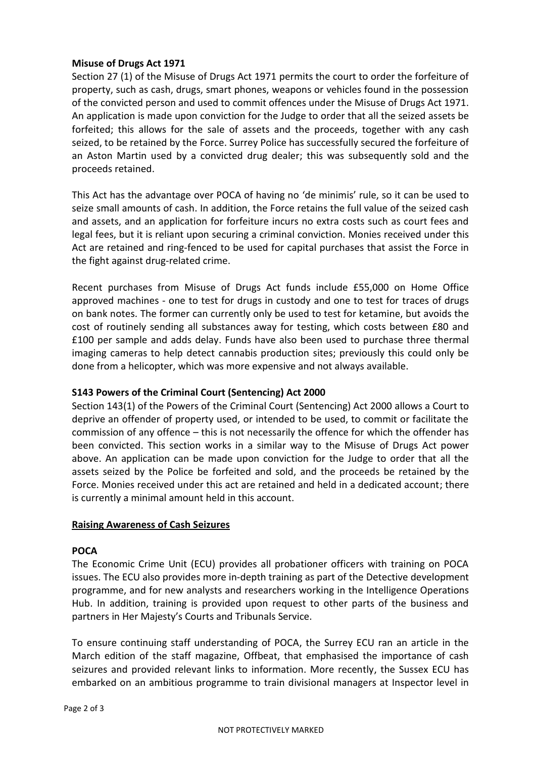## **Misuse of Drugs Act 1971**

Section 27 (1) of the Misuse of Drugs Act 1971 permits the court to order the forfeiture of property, such as cash, drugs, smart phones, weapons or vehicles found in the possession of the convicted person and used to commit offences under the Misuse of Drugs Act 1971. An application is made upon conviction for the Judge to order that all the seized assets be forfeited; this allows for the sale of assets and the proceeds, together with any cash seized, to be retained by the Force. Surrey Police has successfully secured the forfeiture of an Aston Martin used by a convicted drug dealer; this was subsequently sold and the proceeds retained.

This Act has the advantage over POCA of having no 'de minimis' rule, so it can be used to seize small amounts of cash. In addition, the Force retains the full value of the seized cash and assets, and an application for forfeiture incurs no extra costs such as court fees and legal fees, but it is reliant upon securing a criminal conviction. Monies received under this Act are retained and ring-fenced to be used for capital purchases that assist the Force in the fight against drug-related crime.

Recent purchases from Misuse of Drugs Act funds include £55,000 on Home Office approved machines - one to test for drugs in custody and one to test for traces of drugs on bank notes. The former can currently only be used to test for ketamine, but avoids the cost of routinely sending all substances away for testing, which costs between £80 and £100 per sample and adds delay. Funds have also been used to purchase three thermal imaging cameras to help detect cannabis production sites; previously this could only be done from a helicopter, which was more expensive and not always available.

## **S143 Powers of the Criminal Court (Sentencing) Act 2000**

Section 143(1) of the Powers of the Criminal Court (Sentencing) Act 2000 allows a Court to deprive an offender of property used, or intended to be used, to commit or facilitate the commission of any offence – this is not necessarily the offence for which the offender has been convicted. This section works in a similar way to the Misuse of Drugs Act power above. An application can be made upon conviction for the Judge to order that all the assets seized by the Police be forfeited and sold, and the proceeds be retained by the Force. Monies received under this act are retained and held in a dedicated account; there is currently a minimal amount held in this account.

#### **Raising Awareness of Cash Seizures**

#### **POCA**

The Economic Crime Unit (ECU) provides all probationer officers with training on POCA issues. The ECU also provides more in-depth training as part of the Detective development programme, and for new analysts and researchers working in the Intelligence Operations Hub. In addition, training is provided upon request to other parts of the business and partners in Her Majesty's Courts and Tribunals Service.

To ensure continuing staff understanding of POCA, the Surrey ECU ran an article in the March edition of the staff magazine, Offbeat, that emphasised the importance of cash seizures and provided relevant links to information. More recently, the Sussex ECU has embarked on an ambitious programme to train divisional managers at Inspector level in